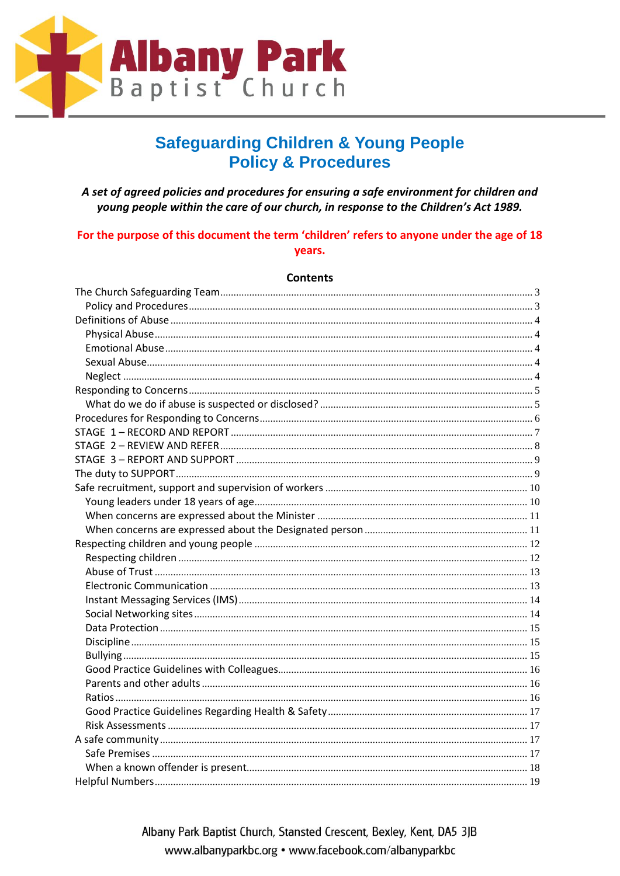

## **Safeguarding Children & Young People Policy & Procedures**

A set of agreed policies and procedures for ensuring a safe environment for children and young people within the care of our church, in response to the Children's Act 1989.

### For the purpose of this document the term 'children' refers to anyone under the age of 18 years.

#### **Contents**

| Helpful Numbers<br>$\sim$ 19 |  |
|------------------------------|--|

Albany Park Baptist Church, Stansted Crescent, Bexley, Kent, DA5 3JB www.albanyparkbc.org • www.facebook.com/albanyparkbc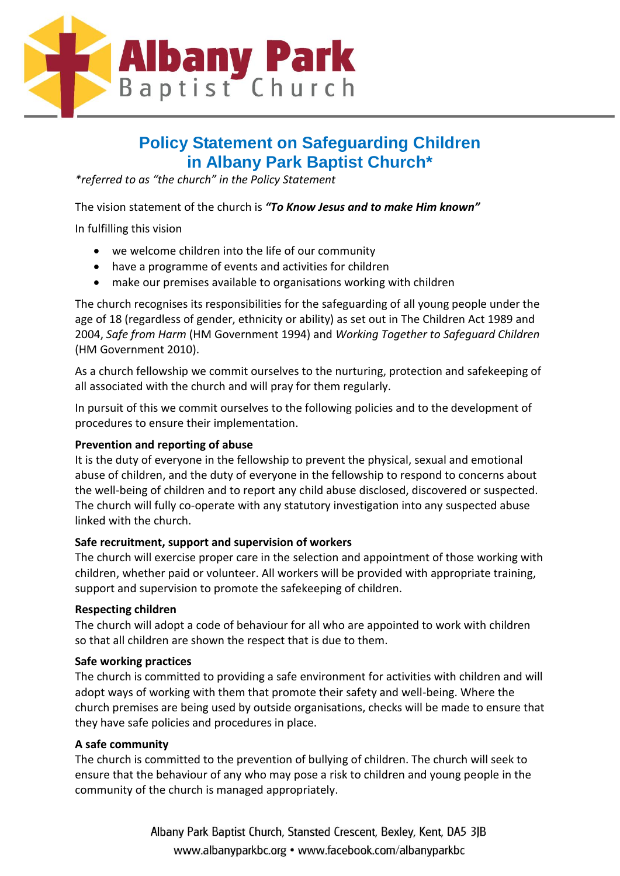

## **Policy Statement on Safeguarding Children in Albany Park Baptist Church\***

*\*referred to as "the church" in the Policy Statement*

The vision statement of the church is *"To Know Jesus and to make Him known"*

In fulfilling this vision

- we welcome children into the life of our community
- have a programme of events and activities for children
- make our premises available to organisations working with children

The church recognises its responsibilities for the safeguarding of all young people under the age of 18 (regardless of gender, ethnicity or ability) as set out in The Children Act 1989 and 2004, *Safe from Harm* (HM Government 1994) and *Working Together to Safeguard Children* (HM Government 2010).

As a church fellowship we commit ourselves to the nurturing, protection and safekeeping of all associated with the church and will pray for them regularly.

In pursuit of this we commit ourselves to the following policies and to the development of procedures to ensure their implementation.

### **Prevention and reporting of abuse**

It is the duty of everyone in the fellowship to prevent the physical, sexual and emotional abuse of children, and the duty of everyone in the fellowship to respond to concerns about the well-being of children and to report any child abuse disclosed, discovered or suspected. The church will fully co-operate with any statutory investigation into any suspected abuse linked with the church.

### **Safe recruitment, support and supervision of workers**

The church will exercise proper care in the selection and appointment of those working with children, whether paid or volunteer. All workers will be provided with appropriate training, support and supervision to promote the safekeeping of children.

### **Respecting children**

The church will adopt a code of behaviour for all who are appointed to work with children so that all children are shown the respect that is due to them.

### **Safe working practices**

The church is committed to providing a safe environment for activities with children and will adopt ways of working with them that promote their safety and well-being. Where the church premises are being used by outside organisations, checks will be made to ensure that they have safe policies and procedures in place.

### **A safe community**

The church is committed to the prevention of bullying of children. The church will seek to ensure that the behaviour of any who may pose a risk to children and young people in the community of the church is managed appropriately.

> Albany Park Baptist Church, Stansted Crescent, Bexley, Kent, DA5 3JB www.albanyparkbc.org • www.facebook.com/albanyparkbc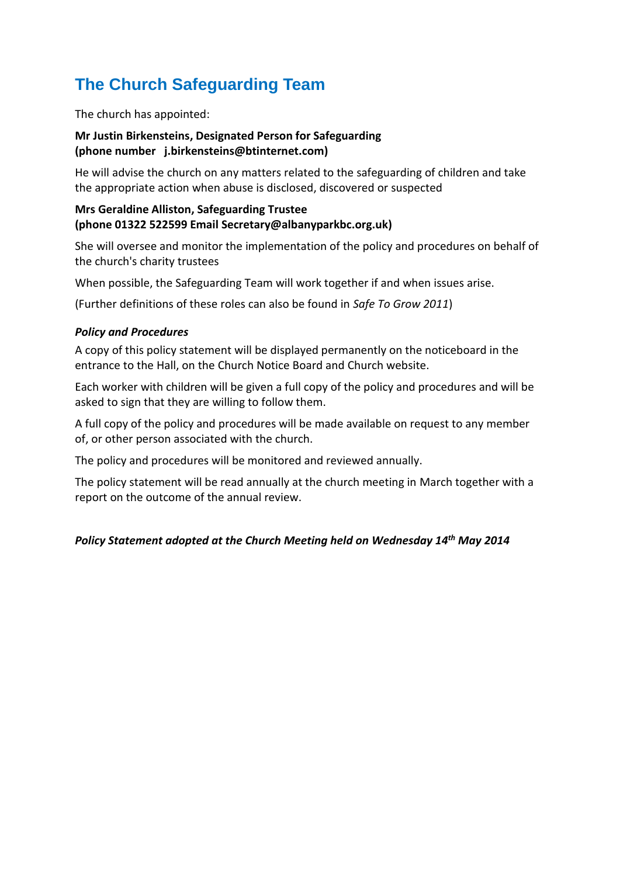# <span id="page-2-0"></span>**The Church Safeguarding Team**

The church has appointed:

### **Mr Justin Birkensteins, Designated Person for Safeguarding (phone number j.birkensteins@btinternet.com)**

He will advise the church on any matters related to the safeguarding of children and take the appropriate action when abuse is disclosed, discovered or suspected

### **Mrs Geraldine Alliston, Safeguarding Trustee (phone 01322 522599 Email Secretary@albanyparkbc.org.uk)**

She will oversee and monitor the implementation of the policy and procedures on behalf of the church's charity trustees

When possible, the Safeguarding Team will work together if and when issues arise.

(Further definitions of these roles can also be found in *Safe To Grow 2011*)

### <span id="page-2-1"></span>*Policy and Procedures*

A copy of this policy statement will be displayed permanently on the noticeboard in the entrance to the Hall, on the Church Notice Board and Church website.

Each worker with children will be given a full copy of the policy and procedures and will be asked to sign that they are willing to follow them.

A full copy of the policy and procedures will be made available on request to any member of, or other person associated with the church.

The policy and procedures will be monitored and reviewed annually.

The policy statement will be read annually at the church meeting in March together with a report on the outcome of the annual review.

### *Policy Statement adopted at the Church Meeting held on Wednesday 14th May 2014*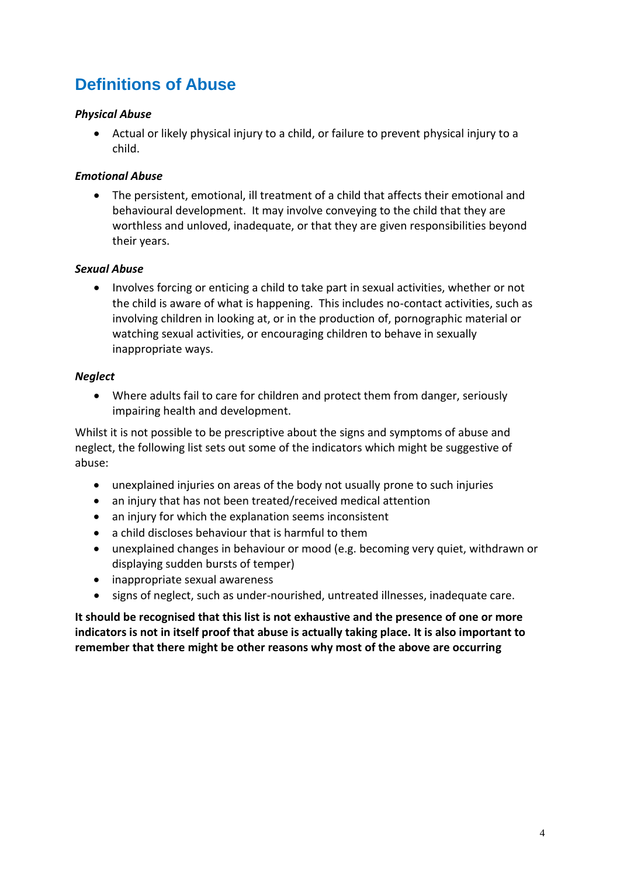# <span id="page-3-0"></span>**Definitions of Abuse**

### <span id="page-3-1"></span>*Physical Abuse*

 Actual or likely physical injury to a child, or failure to prevent physical injury to a child.

### <span id="page-3-2"></span>*Emotional Abuse*

 The persistent, emotional, ill treatment of a child that affects their emotional and behavioural development. It may involve conveying to the child that they are worthless and unloved, inadequate, or that they are given responsibilities beyond their years.

### <span id="page-3-3"></span>*Sexual Abuse*

• Involves forcing or enticing a child to take part in sexual activities, whether or not the child is aware of what is happening. This includes no-contact activities, such as involving children in looking at, or in the production of, pornographic material or watching sexual activities, or encouraging children to behave in sexually inappropriate ways.

### <span id="page-3-4"></span>*Neglect*

 Where adults fail to care for children and protect them from danger, seriously impairing health and development.

Whilst it is not possible to be prescriptive about the signs and symptoms of abuse and neglect, the following list sets out some of the indicators which might be suggestive of abuse:

- unexplained injuries on areas of the body not usually prone to such injuries
- an injury that has not been treated/received medical attention
- an injury for which the explanation seems inconsistent
- a child discloses behaviour that is harmful to them
- unexplained changes in behaviour or mood (e.g. becoming very quiet, withdrawn or displaying sudden bursts of temper)
- inappropriate sexual awareness
- signs of neglect, such as under-nourished, untreated illnesses, inadequate care.

**It should be recognised that this list is not exhaustive and the presence of one or more indicators is not in itself proof that abuse is actually taking place. It is also important to remember that there might be other reasons why most of the above are occurring**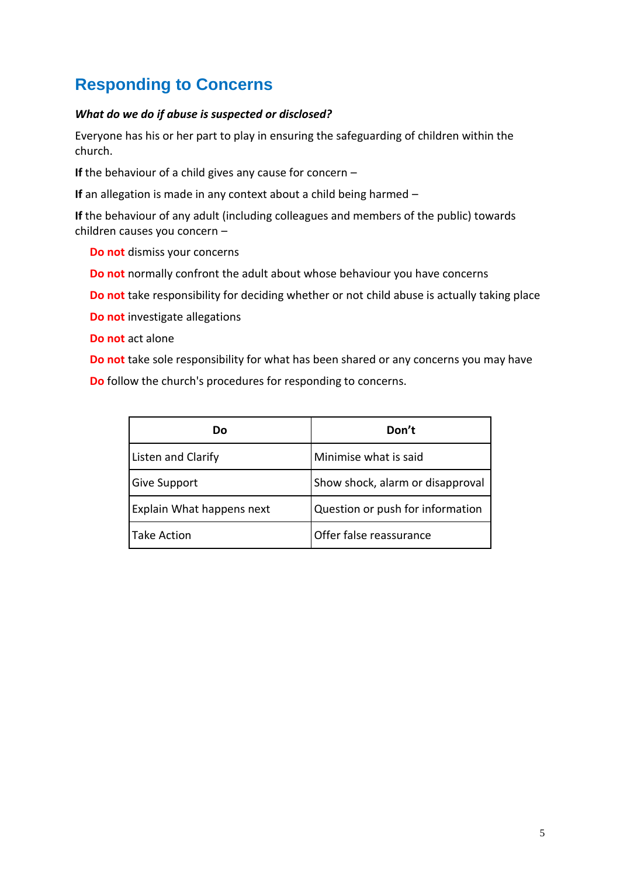# <span id="page-4-0"></span>**Responding to Concerns**

### <span id="page-4-1"></span>*What do we do if abuse is suspected or disclosed?*

Everyone has his or her part to play in ensuring the safeguarding of children within the church.

**If** the behaviour of a child gives any cause for concern –

**If** an allegation is made in any context about a child being harmed –

**If** the behaviour of any adult (including colleagues and members of the public) towards children causes you concern –

- **Do not** dismiss your concerns
- **Do not** normally confront the adult about whose behaviour you have concerns
- **Do not** take responsibility for deciding whether or not child abuse is actually taking place
- **Do not** investigate allegations
- **Do not** act alone
- **Do not** take sole responsibility for what has been shared or any concerns you may have
- **Do** follow the church's procedures for responding to concerns.

| Dο                        | Don't                            |
|---------------------------|----------------------------------|
| <b>Listen and Clarify</b> | Minimise what is said            |
| <b>Give Support</b>       | Show shock, alarm or disapproval |
| Explain What happens next | Question or push for information |
| <b>Take Action</b>        | Offer false reassurance          |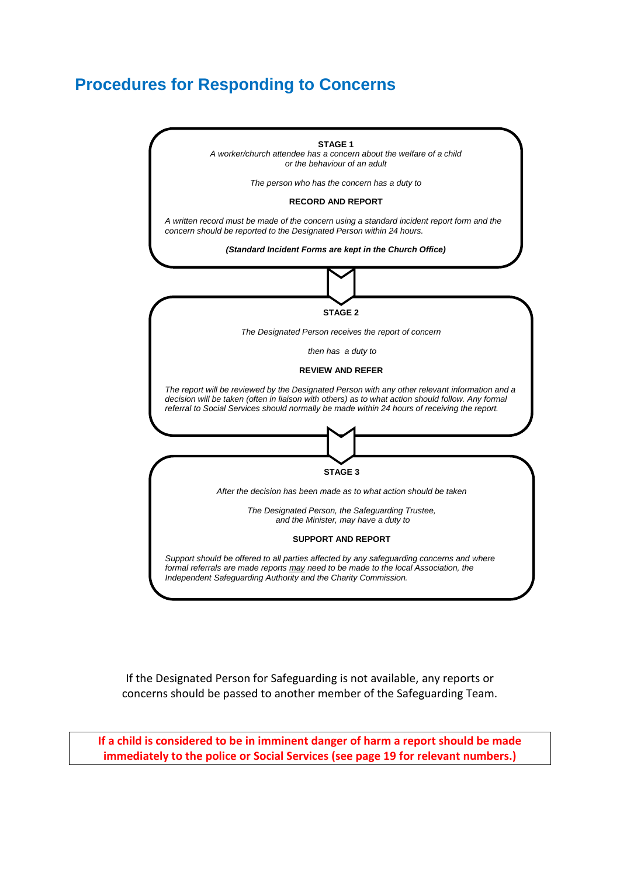### <span id="page-5-0"></span>**Procedures for Responding to Concerns**



If the Designated Person for Safeguarding is not available, any reports or concerns should be passed to another member of the Safeguarding Team.

**If a child is considered to be in imminent danger of harm a report should be made immediately to the police or Social Services (see page 19 for relevant numbers.)**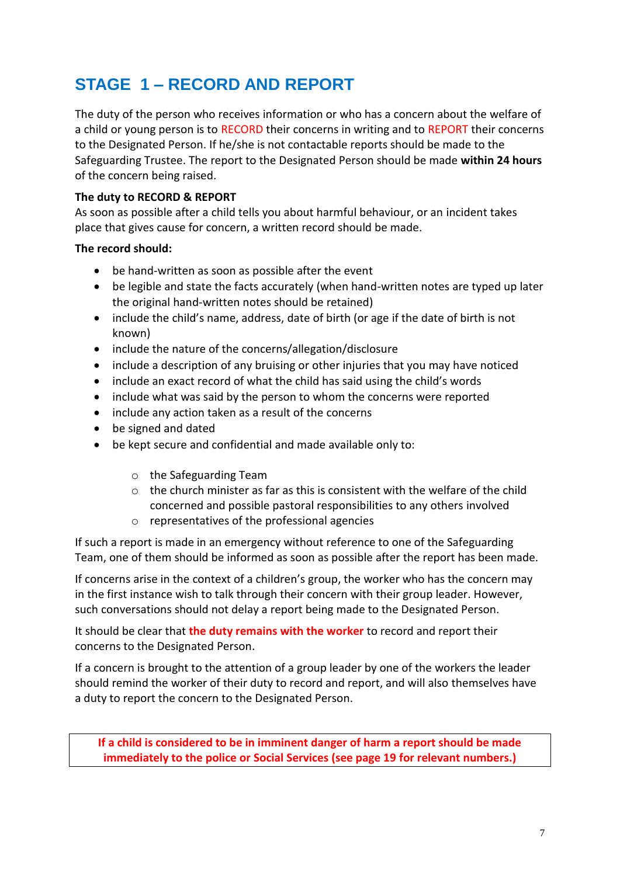# <span id="page-6-0"></span>**STAGE 1 – RECORD AND REPORT**

The duty of the person who receives information or who has a concern about the welfare of a child or young person is to RECORD their concerns in writing and to REPORT their concerns to the Designated Person. If he/she is not contactable reports should be made to the Safeguarding Trustee. The report to the Designated Person should be made **within 24 hours** of the concern being raised.

### **The duty to RECORD & REPORT**

As soon as possible after a child tells you about harmful behaviour, or an incident takes place that gives cause for concern, a written record should be made.

### **The record should:**

- be hand-written as soon as possible after the event
- be legible and state the facts accurately (when hand-written notes are typed up later the original hand-written notes should be retained)
- include the child's name, address, date of birth (or age if the date of birth is not known)
- include the nature of the concerns/allegation/disclosure
- include a description of any bruising or other injuries that you may have noticed
- include an exact record of what the child has said using the child's words
- include what was said by the person to whom the concerns were reported
- include any action taken as a result of the concerns
- be signed and dated
- be kept secure and confidential and made available only to:
	- o the Safeguarding Team
	- $\circ$  the church minister as far as this is consistent with the welfare of the child concerned and possible pastoral responsibilities to any others involved
	- o representatives of the professional agencies

If such a report is made in an emergency without reference to one of the Safeguarding Team, one of them should be informed as soon as possible after the report has been made.

If concerns arise in the context of a children's group, the worker who has the concern may in the first instance wish to talk through their concern with their group leader. However, such conversations should not delay a report being made to the Designated Person.

It should be clear that **the duty remains with the worker** to record and report their concerns to the Designated Person.

If a concern is brought to the attention of a group leader by one of the workers the leader should remind the worker of their duty to record and report, and will also themselves have a duty to report the concern to the Designated Person.

**If a child is considered to be in imminent danger of harm a report should be made immediately to the police or Social Services (see page 19 for relevant numbers.)**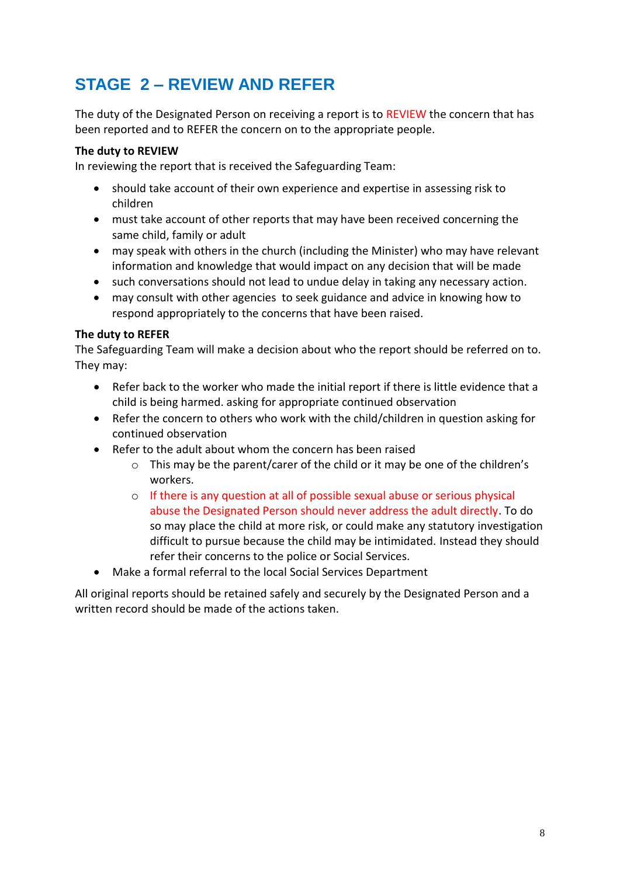# <span id="page-7-0"></span>**STAGE 2 – REVIEW AND REFER**

The duty of the Designated Person on receiving a report is to REVIEW the concern that has been reported and to REFER the concern on to the appropriate people.

### **The duty to REVIEW**

In reviewing the report that is received the Safeguarding Team:

- should take account of their own experience and expertise in assessing risk to children
- must take account of other reports that may have been received concerning the same child, family or adult
- may speak with others in the church (including the Minister) who may have relevant information and knowledge that would impact on any decision that will be made
- such conversations should not lead to undue delay in taking any necessary action.
- may consult with other agencies to seek guidance and advice in knowing how to respond appropriately to the concerns that have been raised.

### **The duty to REFER**

The Safeguarding Team will make a decision about who the report should be referred on to. They may:

- Refer back to the worker who made the initial report if there is little evidence that a child is being harmed. asking for appropriate continued observation
- Refer the concern to others who work with the child/children in question asking for continued observation
- Refer to the adult about whom the concern has been raised
	- $\circ$  This may be the parent/carer of the child or it may be one of the children's workers.
	- o If there is any question at all of possible sexual abuse or serious physical abuse the Designated Person should never address the adult directly. To do so may place the child at more risk, or could make any statutory investigation difficult to pursue because the child may be intimidated. Instead they should refer their concerns to the police or Social Services.
- Make a formal referral to the local Social Services Department

All original reports should be retained safely and securely by the Designated Person and a written record should be made of the actions taken.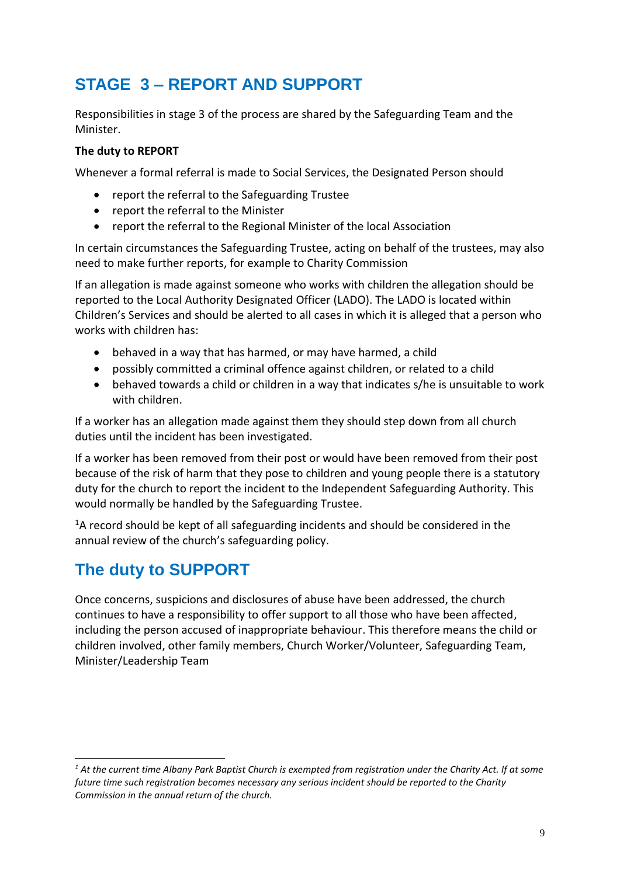## <span id="page-8-0"></span>**STAGE 3 – REPORT AND SUPPORT**

Responsibilities in stage 3 of the process are shared by the Safeguarding Team and the Minister.

### **The duty to REPORT**

Whenever a formal referral is made to Social Services, the Designated Person should

- report the referral to the Safeguarding Trustee
- report the referral to the Minister
- report the referral to the Regional Minister of the local Association

In certain circumstances the Safeguarding Trustee, acting on behalf of the trustees, may also need to make further reports, for example to Charity Commission

If an allegation is made against someone who works with children the allegation should be reported to the Local Authority Designated Officer (LADO). The LADO is located within Children's Services and should be alerted to all cases in which it is alleged that a person who works with children has:

- behaved in a way that has harmed, or may have harmed, a child
- possibly committed a criminal offence against children, or related to a child
- behaved towards a child or children in a way that indicates s/he is unsuitable to work with children.

If a worker has an allegation made against them they should step down from all church duties until the incident has been investigated.

If a worker has been removed from their post or would have been removed from their post because of the risk of harm that they pose to children and young people there is a statutory duty for the church to report the incident to the Independent Safeguarding Authority. This would normally be handled by the Safeguarding Trustee.

 $1A$  record should be kept of all safeguarding incidents and should be considered in the annual review of the church's safeguarding policy.

## <span id="page-8-1"></span>**The duty to SUPPORT**

-

Once concerns, suspicions and disclosures of abuse have been addressed, the church continues to have a responsibility to offer support to all those who have been affected, including the person accused of inappropriate behaviour. This therefore means the child or children involved, other family members, Church Worker/Volunteer, Safeguarding Team, Minister/Leadership Team

*<sup>1</sup> At the current time Albany Park Baptist Church is exempted from registration under the Charity Act. If at some future time such registration becomes necessary any serious incident should be reported to the Charity Commission in the annual return of the church.*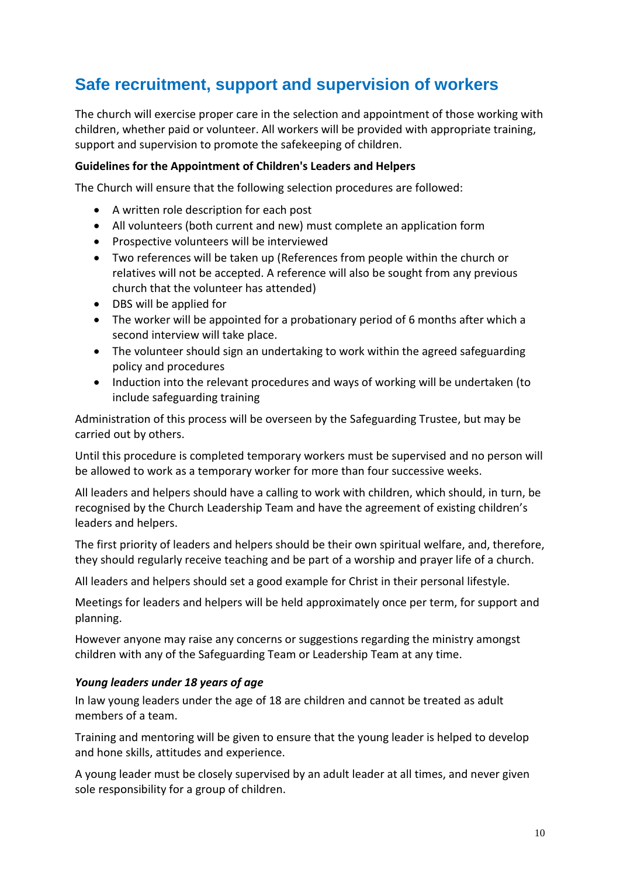## <span id="page-9-0"></span>**Safe recruitment, support and supervision of workers**

The church will exercise proper care in the selection and appointment of those working with children, whether paid or volunteer. All workers will be provided with appropriate training, support and supervision to promote the safekeeping of children.

### **Guidelines for the Appointment of Children's Leaders and Helpers**

The Church will ensure that the following selection procedures are followed:

- A written role description for each post
- All volunteers (both current and new) must complete an application form
- Prospective volunteers will be interviewed
- Two references will be taken up (References from people within the church or relatives will not be accepted. A reference will also be sought from any previous church that the volunteer has attended)
- DBS will be applied for
- The worker will be appointed for a probationary period of 6 months after which a second interview will take place.
- The volunteer should sign an undertaking to work within the agreed safeguarding policy and procedures
- Induction into the relevant procedures and ways of working will be undertaken (to include safeguarding training

Administration of this process will be overseen by the Safeguarding Trustee, but may be carried out by others.

Until this procedure is completed temporary workers must be supervised and no person will be allowed to work as a temporary worker for more than four successive weeks.

All leaders and helpers should have a calling to work with children, which should, in turn, be recognised by the Church Leadership Team and have the agreement of existing children's leaders and helpers.

The first priority of leaders and helpers should be their own spiritual welfare, and, therefore, they should regularly receive teaching and be part of a worship and prayer life of a church.

All leaders and helpers should set a good example for Christ in their personal lifestyle.

Meetings for leaders and helpers will be held approximately once per term, for support and planning.

However anyone may raise any concerns or suggestions regarding the ministry amongst children with any of the Safeguarding Team or Leadership Team at any time.

### <span id="page-9-1"></span>*Young leaders under 18 years of age*

In law young leaders under the age of 18 are children and cannot be treated as adult members of a team.

Training and mentoring will be given to ensure that the young leader is helped to develop and hone skills, attitudes and experience.

A young leader must be closely supervised by an adult leader at all times, and never given sole responsibility for a group of children.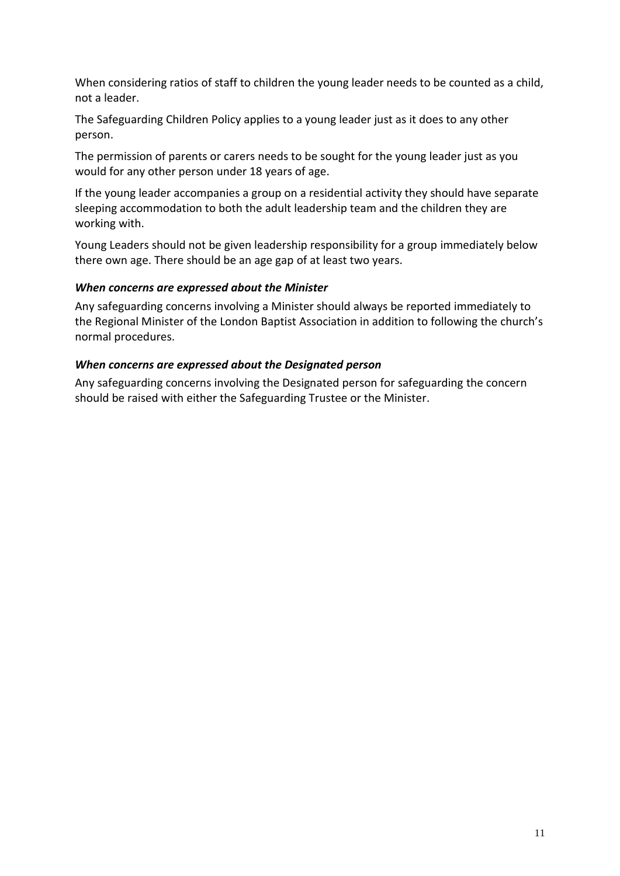When considering ratios of staff to children the young leader needs to be counted as a child, not a leader.

The Safeguarding Children Policy applies to a young leader just as it does to any other person.

The permission of parents or carers needs to be sought for the young leader just as you would for any other person under 18 years of age.

If the young leader accompanies a group on a residential activity they should have separate sleeping accommodation to both the adult leadership team and the children they are working with.

Young Leaders should not be given leadership responsibility for a group immediately below there own age. There should be an age gap of at least two years.

### <span id="page-10-0"></span>*When concerns are expressed about the Minister*

Any safeguarding concerns involving a Minister should always be reported immediately to the Regional Minister of the London Baptist Association in addition to following the church's normal procedures.

### <span id="page-10-1"></span>*When concerns are expressed about the Designated person*

Any safeguarding concerns involving the Designated person for safeguarding the concern should be raised with either the Safeguarding Trustee or the Minister.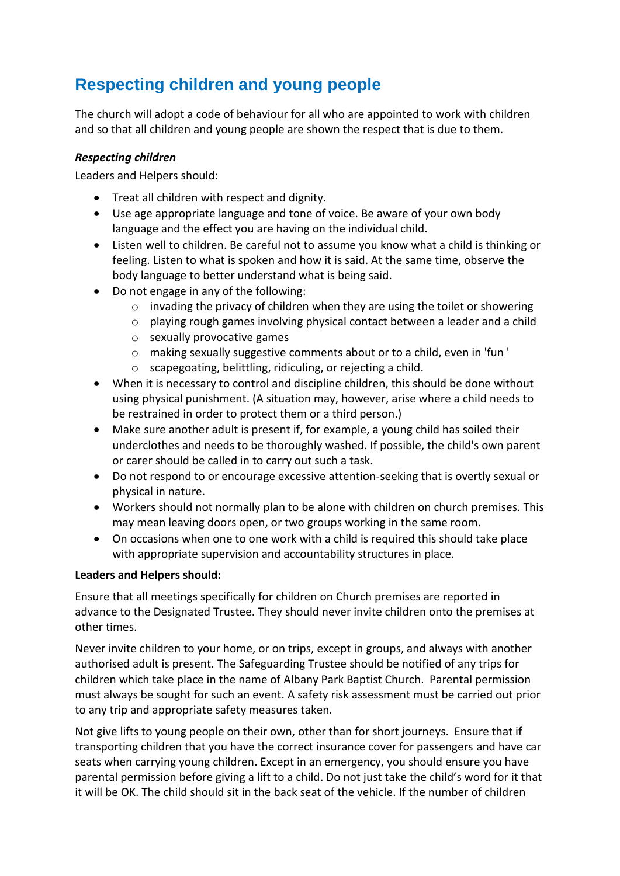## <span id="page-11-0"></span>**Respecting children and young people**

The church will adopt a code of behaviour for all who are appointed to work with children and so that all children and young people are shown the respect that is due to them.

### <span id="page-11-1"></span>*Respecting children*

Leaders and Helpers should:

- Treat all children with respect and dignity.
- Use age appropriate language and tone of voice. Be aware of your own body language and the effect you are having on the individual child.
- Listen well to children. Be careful not to assume you know what a child is thinking or feeling. Listen to what is spoken and how it is said. At the same time, observe the body language to better understand what is being said.
- Do not engage in any of the following:
	- o invading the privacy of children when they are using the toilet or showering
	- o playing rough games involving physical contact between a leader and a child
	- o sexually provocative games
	- o making sexually suggestive comments about or to a child, even in 'fun '
	- o scapegoating, belittling, ridiculing, or rejecting a child.
- When it is necessary to control and discipline children, this should be done without using physical punishment. (A situation may, however, arise where a child needs to be restrained in order to protect them or a third person.)
- Make sure another adult is present if, for example, a young child has soiled their underclothes and needs to be thoroughly washed. If possible, the child's own parent or carer should be called in to carry out such a task.
- Do not respond to or encourage excessive attention-seeking that is overtly sexual or physical in nature.
- Workers should not normally plan to be alone with children on church premises. This may mean leaving doors open, or two groups working in the same room.
- On occasions when one to one work with a child is required this should take place with appropriate supervision and accountability structures in place.

### **Leaders and Helpers should:**

Ensure that all meetings specifically for children on Church premises are reported in advance to the Designated Trustee. They should never invite children onto the premises at other times.

Never invite children to your home, or on trips, except in groups, and always with another authorised adult is present. The Safeguarding Trustee should be notified of any trips for children which take place in the name of Albany Park Baptist Church. Parental permission must always be sought for such an event. A safety risk assessment must be carried out prior to any trip and appropriate safety measures taken.

Not give lifts to young people on their own, other than for short journeys. Ensure that if transporting children that you have the correct insurance cover for passengers and have car seats when carrying young children. Except in an emergency, you should ensure you have parental permission before giving a lift to a child. Do not just take the child's word for it that it will be OK. The child should sit in the back seat of the vehicle. If the number of children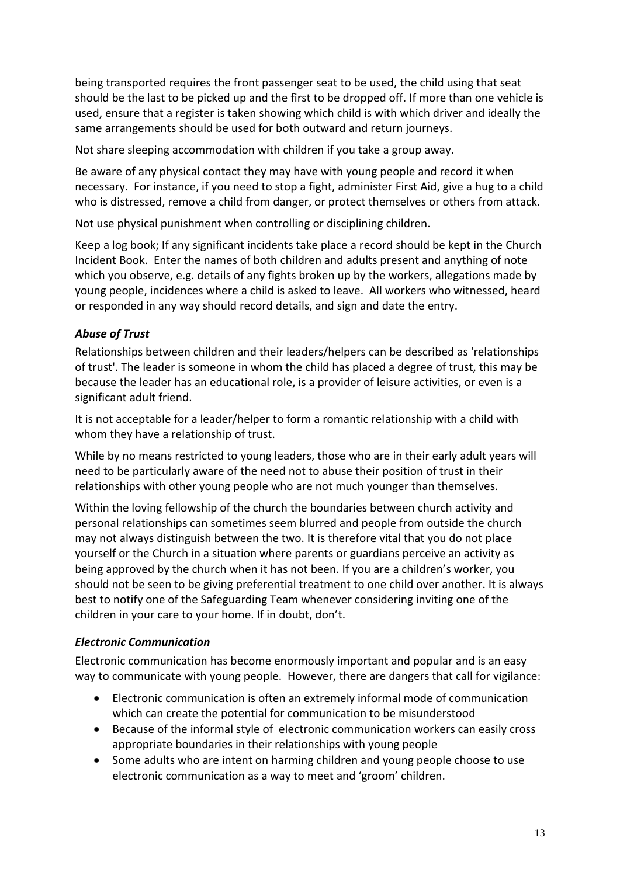being transported requires the front passenger seat to be used, the child using that seat should be the last to be picked up and the first to be dropped off. If more than one vehicle is used, ensure that a register is taken showing which child is with which driver and ideally the same arrangements should be used for both outward and return journeys.

Not share sleeping accommodation with children if you take a group away.

Be aware of any physical contact they may have with young people and record it when necessary. For instance, if you need to stop a fight, administer First Aid, give a hug to a child who is distressed, remove a child from danger, or protect themselves or others from attack.

Not use physical punishment when controlling or disciplining children.

Keep a log book; If any significant incidents take place a record should be kept in the Church Incident Book. Enter the names of both children and adults present and anything of note which you observe, e.g. details of any fights broken up by the workers, allegations made by young people, incidences where a child is asked to leave. All workers who witnessed, heard or responded in any way should record details, and sign and date the entry.

### <span id="page-12-0"></span>*Abuse of Trust*

Relationships between children and their leaders/helpers can be described as 'relationships of trust'. The leader is someone in whom the child has placed a degree of trust, this may be because the leader has an educational role, is a provider of leisure activities, or even is a significant adult friend.

It is not acceptable for a leader/helper to form a romantic relationship with a child with whom they have a relationship of trust.

While by no means restricted to young leaders, those who are in their early adult years will need to be particularly aware of the need not to abuse their position of trust in their relationships with other young people who are not much younger than themselves.

Within the loving fellowship of the church the boundaries between church activity and personal relationships can sometimes seem blurred and people from outside the church may not always distinguish between the two. It is therefore vital that you do not place yourself or the Church in a situation where parents or guardians perceive an activity as being approved by the church when it has not been. If you are a children's worker, you should not be seen to be giving preferential treatment to one child over another. It is always best to notify one of the Safeguarding Team whenever considering inviting one of the children in your care to your home. If in doubt, don't.

### <span id="page-12-1"></span>*Electronic Communication*

Electronic communication has become enormously important and popular and is an easy way to communicate with young people. However, there are dangers that call for vigilance:

- Electronic communication is often an extremely informal mode of communication which can create the potential for communication to be misunderstood
- Because of the informal style of electronic communication workers can easily cross appropriate boundaries in their relationships with young people
- Some adults who are intent on harming children and young people choose to use electronic communication as a way to meet and 'groom' children.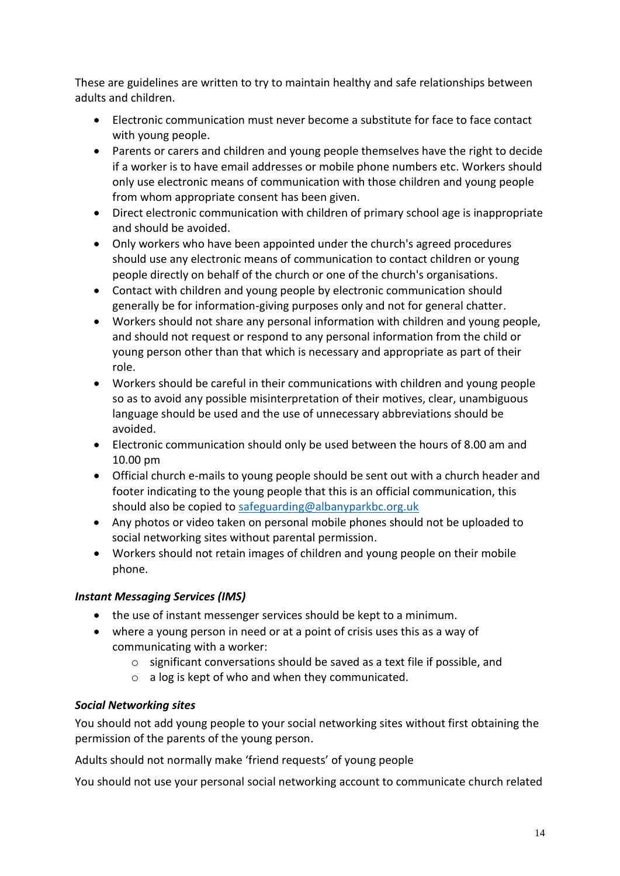These are guidelines are written to try to maintain healthy and safe relationships between adults and children.

- Electronic communication must never become a substitute for face to face contact with young people.
- Parents or carers and children and young people themselves have the right to decide if a worker is to have email addresses or mobile phone numbers etc. Workers should only use electronic means of communication with those children and young people from whom appropriate consent has been given.
- Direct electronic communication with children of primary school age is inappropriate and should be avoided.
- Only workers who have been appointed under the church's agreed procedures should use any electronic means of communication to contact children or young people directly on behalf of the church or one of the church's organisations.
- Contact with children and young people by electronic communication should generally be for information-giving purposes only and not for general chatter.
- Workers should not share any personal information with children and young people, and should not request or respond to any personal information from the child or young person other than that which is necessary and appropriate as part of their role.
- Workers should be careful in their communications with children and young people so as to avoid any possible misinterpretation of their motives, clear, unambiguous language should be used and the use of unnecessary abbreviations should be avoided.
- Electronic communication should only be used between the hours of 8.00 am and 10.00 pm
- Official church e-mails to young people should be sent out with a church header and footer indicating to the young people that this is an official communication, this should also be copied to [safeguarding@albanyparkbc.org.uk](mailto:safeguarding@albanyparkbc.org.uk)
- Any photos or video taken on personal mobile phones should not be uploaded to social networking sites without parental permission.
- Workers should not retain images of children and young people on their mobile phone.

### <span id="page-13-0"></span>*Instant Messaging Services (IMS)*

- the use of instant messenger services should be kept to a minimum.
- where a young person in need or at a point of crisis uses this as a way of communicating with a worker:
	- o significant conversations should be saved as a text file if possible, and
	- o a log is kept of who and when they communicated.

### <span id="page-13-1"></span>*Social Networking sites*

You should not add young people to your social networking sites without first obtaining the permission of the parents of the young person.

Adults should not normally make 'friend requests' of young people

You should not use your personal social networking account to communicate church related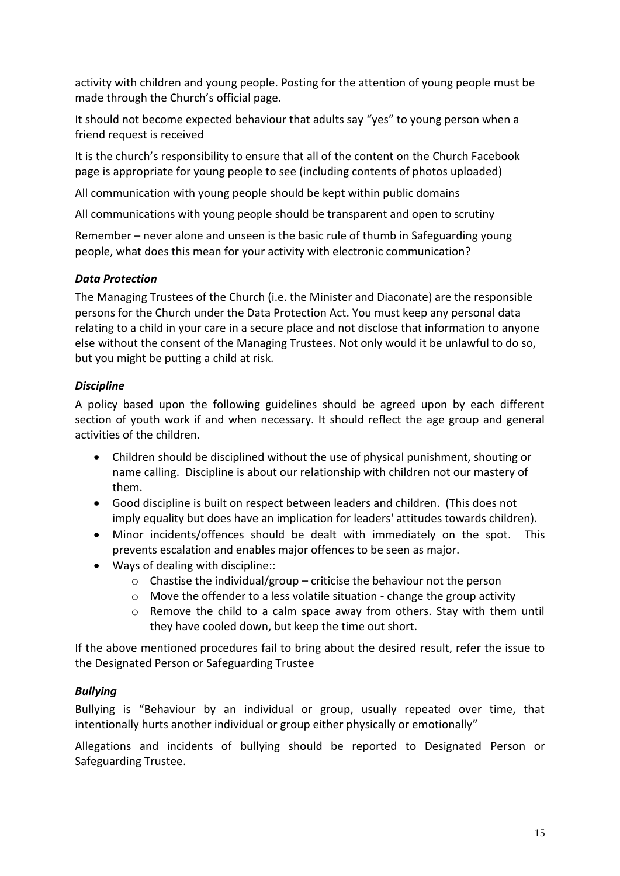activity with children and young people. Posting for the attention of young people must be made through the Church's official page.

It should not become expected behaviour that adults say "yes" to young person when a friend request is received

It is the church's responsibility to ensure that all of the content on the Church Facebook page is appropriate for young people to see (including contents of photos uploaded)

All communication with young people should be kept within public domains

All communications with young people should be transparent and open to scrutiny

Remember – never alone and unseen is the basic rule of thumb in Safeguarding young people, what does this mean for your activity with electronic communication?

### <span id="page-14-0"></span>*Data Protection*

The Managing Trustees of the Church (i.e. the Minister and Diaconate) are the responsible persons for the Church under the Data Protection Act. You must keep any personal data relating to a child in your care in a secure place and not disclose that information to anyone else without the consent of the Managing Trustees. Not only would it be unlawful to do so, but you might be putting a child at risk.

### <span id="page-14-1"></span>*Discipline*

A policy based upon the following guidelines should be agreed upon by each different section of youth work if and when necessary. It should reflect the age group and general activities of the children.

- Children should be disciplined without the use of physical punishment, shouting or name calling. Discipline is about our relationship with children not our mastery of them.
- Good discipline is built on respect between leaders and children. (This does not imply equality but does have an implication for leaders' attitudes towards children).
- Minor incidents/offences should be dealt with immediately on the spot. This prevents escalation and enables major offences to be seen as major.
- Ways of dealing with discipline::
	- $\circ$  Chastise the individual/group criticise the behaviour not the person
	- o Move the offender to a less volatile situation change the group activity
	- $\circ$  Remove the child to a calm space away from others. Stay with them until they have cooled down, but keep the time out short.

If the above mentioned procedures fail to bring about the desired result, refer the issue to the Designated Person or Safeguarding Trustee

### <span id="page-14-2"></span>*Bullying*

Bullying is "Behaviour by an individual or group, usually repeated over time, that intentionally hurts another individual or group either physically or emotionally"

Allegations and incidents of bullying should be reported to Designated Person or Safeguarding Trustee.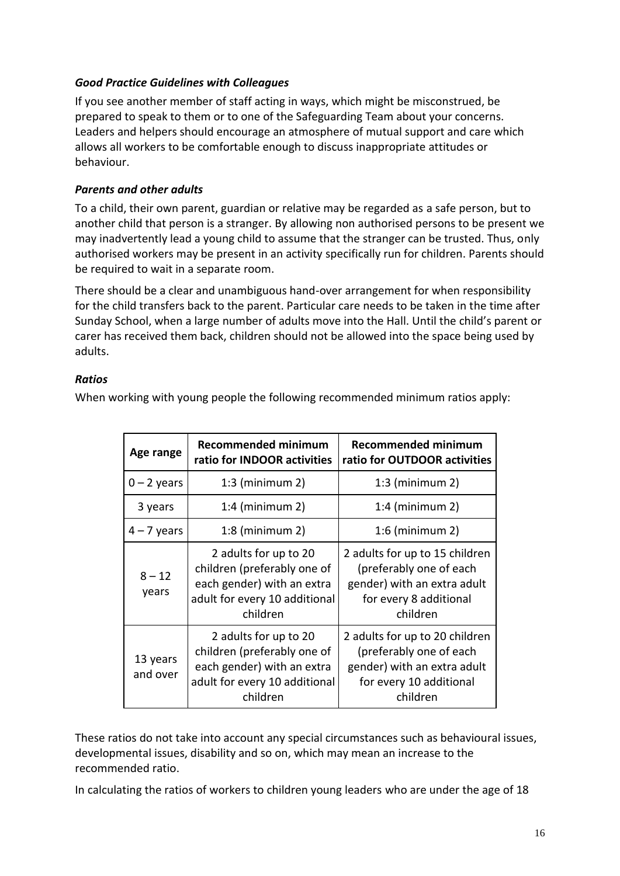### <span id="page-15-0"></span>*Good Practice Guidelines with Colleagues*

If you see another member of staff acting in ways, which might be misconstrued, be prepared to speak to them or to one of the Safeguarding Team about your concerns. Leaders and helpers should encourage an atmosphere of mutual support and care which allows all workers to be comfortable enough to discuss inappropriate attitudes or behaviour.

### <span id="page-15-1"></span>*Parents and other adults*

To a child, their own parent, guardian or relative may be regarded as a safe person, but to another child that person is a stranger. By allowing non authorised persons to be present we may inadvertently lead a young child to assume that the stranger can be trusted. Thus, only authorised workers may be present in an activity specifically run for children. Parents should be required to wait in a separate room.

There should be a clear and unambiguous hand-over arrangement for when responsibility for the child transfers back to the parent. Particular care needs to be taken in the time after Sunday School, when a large number of adults move into the Hall. Until the child's parent or carer has received them back, children should not be allowed into the space being used by adults.

### <span id="page-15-2"></span>*Ratios*

When working with young people the following recommended minimum ratios apply:

| Age range            | <b>Recommended minimum</b><br>ratio for INDOOR activities                                                                       | <b>Recommended minimum</b><br>ratio for OUTDOOR activities                                                                      |
|----------------------|---------------------------------------------------------------------------------------------------------------------------------|---------------------------------------------------------------------------------------------------------------------------------|
| $0 - 2$ years        | $1:3$ (minimum 2)                                                                                                               | $1:3$ (minimum 2)                                                                                                               |
| 3 years              | $1:4$ (minimum 2)                                                                                                               | $1:4$ (minimum 2)                                                                                                               |
| $4 - 7$ years        | $1:8$ (minimum 2)                                                                                                               | $1:6$ (minimum 2)                                                                                                               |
| $8 - 12$<br>years    | 2 adults for up to 20<br>children (preferably one of<br>each gender) with an extra<br>adult for every 10 additional<br>children | 2 adults for up to 15 children<br>(preferably one of each<br>gender) with an extra adult<br>for every 8 additional<br>children  |
| 13 years<br>and over | 2 adults for up to 20<br>children (preferably one of<br>each gender) with an extra<br>adult for every 10 additional<br>children | 2 adults for up to 20 children<br>(preferably one of each<br>gender) with an extra adult<br>for every 10 additional<br>children |

These ratios do not take into account any special circumstances such as behavioural issues, developmental issues, disability and so on, which may mean an increase to the recommended ratio.

In calculating the ratios of workers to children young leaders who are under the age of 18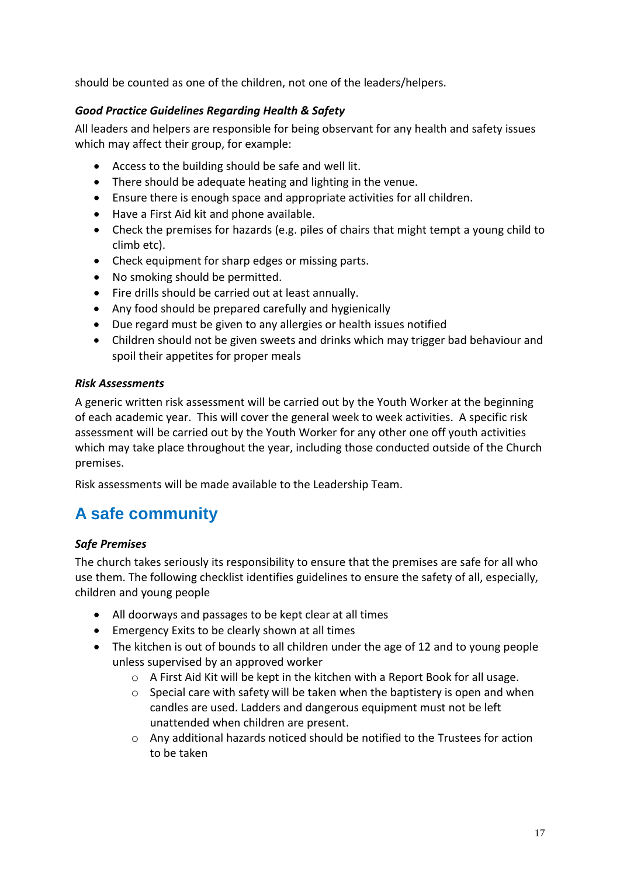should be counted as one of the children, not one of the leaders/helpers.

### <span id="page-16-0"></span>*Good Practice Guidelines Regarding Health & Safety*

All leaders and helpers are responsible for being observant for any health and safety issues which may affect their group, for example:

- Access to the building should be safe and well lit.
- There should be adequate heating and lighting in the venue.
- Ensure there is enough space and appropriate activities for all children.
- Have a First Aid kit and phone available.
- Check the premises for hazards (e.g. piles of chairs that might tempt a young child to climb etc).
- Check equipment for sharp edges or missing parts.
- No smoking should be permitted.
- Fire drills should be carried out at least annually.
- Any food should be prepared carefully and hygienically
- Due regard must be given to any allergies or health issues notified
- Children should not be given sweets and drinks which may trigger bad behaviour and spoil their appetites for proper meals

### <span id="page-16-1"></span>*Risk Assessments*

A generic written risk assessment will be carried out by the Youth Worker at the beginning of each academic year. This will cover the general week to week activities. A specific risk assessment will be carried out by the Youth Worker for any other one off youth activities which may take place throughout the year, including those conducted outside of the Church premises.

Risk assessments will be made available to the Leadership Team.

### <span id="page-16-2"></span>**A safe community**

### <span id="page-16-3"></span>*Safe Premises*

The church takes seriously its responsibility to ensure that the premises are safe for all who use them. The following checklist identifies guidelines to ensure the safety of all, especially, children and young people

- All doorways and passages to be kept clear at all times
- Emergency Exits to be clearly shown at all times
- The kitchen is out of bounds to all children under the age of 12 and to young people unless supervised by an approved worker
	- o A First Aid Kit will be kept in the kitchen with a Report Book for all usage.
	- $\circ$  Special care with safety will be taken when the baptistery is open and when candles are used. Ladders and dangerous equipment must not be left unattended when children are present.
	- $\circ$  Any additional hazards noticed should be notified to the Trustees for action to be taken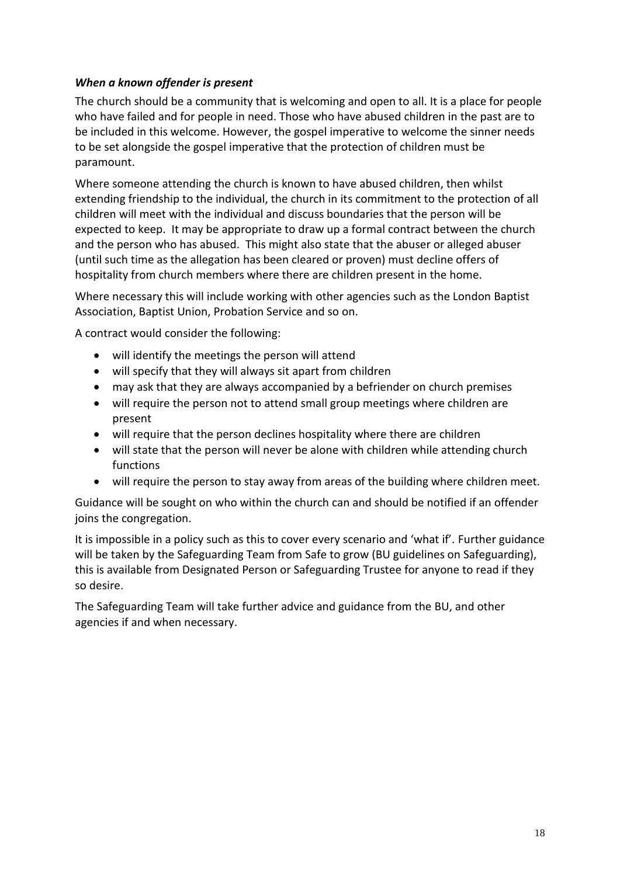### <span id="page-17-0"></span>*When a known offender is present*

The church should be a community that is welcoming and open to all. It is a place for people who have failed and for people in need. Those who have abused children in the past are to be included in this welcome. However, the gospel imperative to welcome the sinner needs to be set alongside the gospel imperative that the protection of children must be paramount.

Where someone attending the church is known to have abused children, then whilst extending friendship to the individual, the church in its commitment to the protection of all children will meet with the individual and discuss boundaries that the person will be expected to keep. It may be appropriate to draw up a formal contract between the church and the person who has abused. This might also state that the abuser or alleged abuser (until such time as the allegation has been cleared or proven) must decline offers of hospitality from church members where there are children present in the home.

Where necessary this will include working with other agencies such as the London Baptist Association, Baptist Union, Probation Service and so on.

A contract would consider the following:

- will identify the meetings the person will attend
- will specify that they will always sit apart from children
- may ask that they are always accompanied by a befriender on church premises
- will require the person not to attend small group meetings where children are present
- will require that the person declines hospitality where there are children
- will state that the person will never be alone with children while attending church functions
- will require the person to stay away from areas of the building where children meet.

Guidance will be sought on who within the church can and should be notified if an offender joins the congregation.

It is impossible in a policy such as this to cover every scenario and 'what if'. Further guidance will be taken by the Safeguarding Team from Safe to grow (BU guidelines on Safeguarding), this is available from Designated Person or Safeguarding Trustee for anyone to read if they so desire.

The Safeguarding Team will take further advice and guidance from the BU, and other agencies if and when necessary.